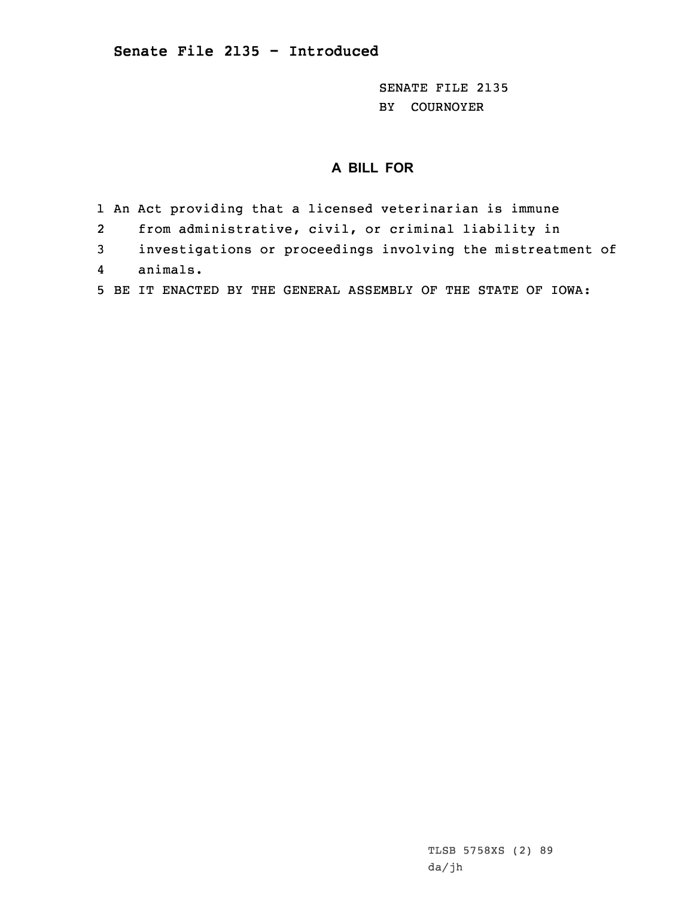SENATE FILE 2135 BY COURNOYER

## **A BILL FOR**

- 1 An Act providing that <sup>a</sup> licensed veterinarian is immune
- 2from administrative, civil, or criminal liability in
- 3 investigations or proceedings involving the mistreatment of 4animals.
- 5 BE IT ENACTED BY THE GENERAL ASSEMBLY OF THE STATE OF IOWA: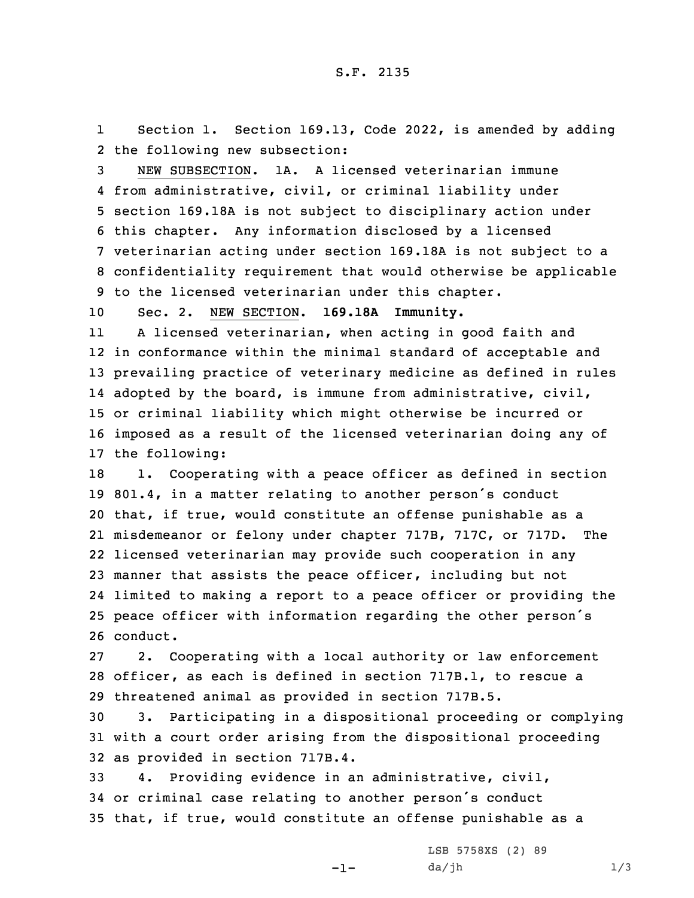1 Section 1. Section 169.13, Code 2022, is amended by adding 2 the following new subsection:

 NEW SUBSECTION. 1A. A licensed veterinarian immune from administrative, civil, or criminal liability under section 169.18A is not subject to disciplinary action under this chapter. Any information disclosed by <sup>a</sup> licensed veterinarian acting under section 169.18A is not subject to <sup>a</sup> confidentiality requirement that would otherwise be applicable to the licensed veterinarian under this chapter.

10 Sec. 2. NEW SECTION. **169.18A Immunity.**

11 <sup>A</sup> licensed veterinarian, when acting in good faith and in conformance within the minimal standard of acceptable and prevailing practice of veterinary medicine as defined in rules adopted by the board, is immune from administrative, civil, or criminal liability which might otherwise be incurred or imposed as <sup>a</sup> result of the licensed veterinarian doing any of the following:

18 1. Cooperating with a peace officer as defined in section 801.4, in <sup>a</sup> matter relating to another person's conduct that, if true, would constitute an offense punishable as <sup>a</sup> misdemeanor or felony under chapter 717B, 717C, or 717D. The licensed veterinarian may provide such cooperation in any manner that assists the peace officer, including but not limited to making <sup>a</sup> report to <sup>a</sup> peace officer or providing the peace officer with information regarding the other person's 26 conduct.

27 2. Cooperating with <sup>a</sup> local authority or law enforcement 28 officer, as each is defined in section 717B.1, to rescue <sup>a</sup> 29 threatened animal as provided in section 717B.5.

30 3. Participating in <sup>a</sup> dispositional proceeding or complying 31 with <sup>a</sup> court order arising from the dispositional proceeding 32 as provided in section 717B.4.

33 4. Providing evidence in an administrative, civil, <sup>34</sup> or criminal case relating to another person's conduct 35 that, if true, would constitute an offense punishable as <sup>a</sup>

-1-

LSB 5758XS (2) 89  $da/jh$   $1/3$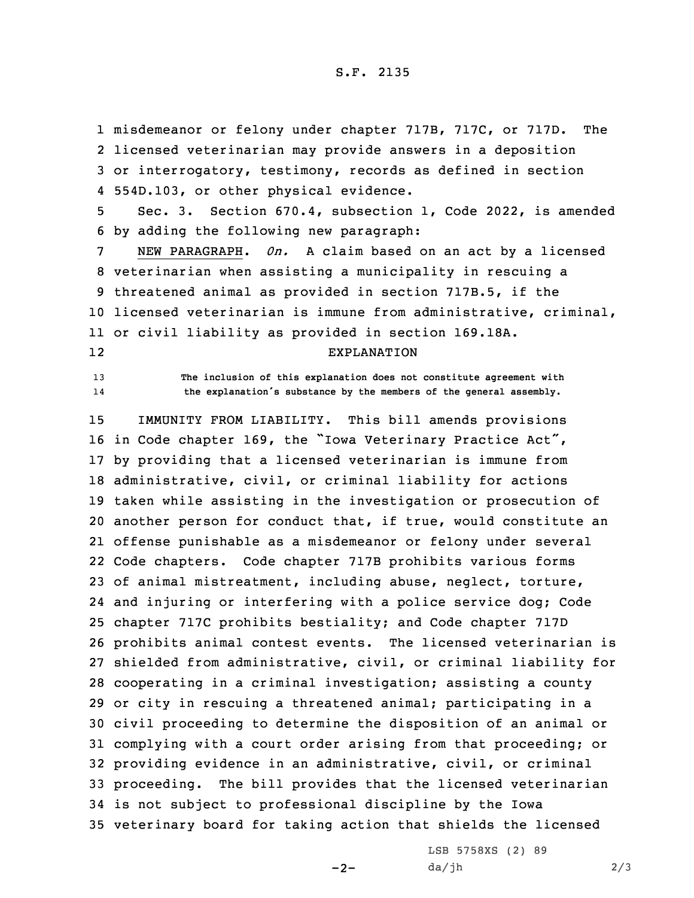misdemeanor or felony under chapter 717B, 717C, or 717D. The licensed veterinarian may provide answers in <sup>a</sup> deposition or interrogatory, testimony, records as defined in section 554D.103, or other physical evidence.

5 Sec. 3. Section 670.4, subsection 1, Code 2022, is amended 6 by adding the following new paragraph:

 NEW PARAGRAPH. *0n.* <sup>A</sup> claim based on an act by <sup>a</sup> licensed veterinarian when assisting <sup>a</sup> municipality in rescuing <sup>a</sup> threatened animal as provided in section 717B.5, if the licensed veterinarian is immune from administrative, criminal, or civil liability as provided in section 169.18A. 12

## EXPLANATION

13 **The inclusion of this explanation does not constitute agreement with** 14**the explanation's substance by the members of the general assembly.**

 IMMUNITY FROM LIABILITY. This bill amends provisions in Code chapter 169, the "Iowa Veterinary Practice Act", by providing that <sup>a</sup> licensed veterinarian is immune from administrative, civil, or criminal liability for actions taken while assisting in the investigation or prosecution of another person for conduct that, if true, would constitute an offense punishable as <sup>a</sup> misdemeanor or felony under several Code chapters. Code chapter 717B prohibits various forms of animal mistreatment, including abuse, neglect, torture, and injuring or interfering with <sup>a</sup> police service dog; Code chapter 717C prohibits bestiality; and Code chapter 717D prohibits animal contest events. The licensed veterinarian is shielded from administrative, civil, or criminal liability for cooperating in <sup>a</sup> criminal investigation; assisting <sup>a</sup> county or city in rescuing <sup>a</sup> threatened animal; participating in <sup>a</sup> civil proceeding to determine the disposition of an animal or complying with <sup>a</sup> court order arising from that proceeding; or providing evidence in an administrative, civil, or criminal proceeding. The bill provides that the licensed veterinarian is not subject to professional discipline by the Iowa veterinary board for taking action that shields the licensed

 $-2-$ 

LSB 5758XS (2) 89  $da/jh$  2/3